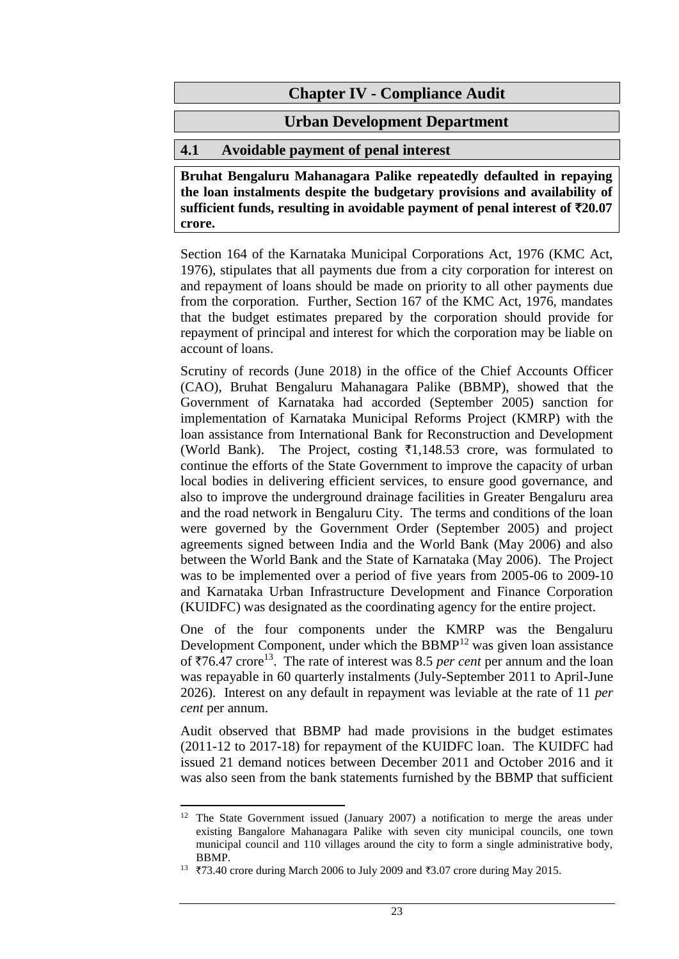# **Urban Development Department**

# **4.1 Avoidable payment of penal interest**

**Bruhat Bengaluru Mahanagara Palike repeatedly defaulted in repaying the loan instalments despite the budgetary provisions and availability of sufficient funds, resulting in avoidable payment of penal interest of** `**20.07 crore.**

Section 164 of the Karnataka Municipal Corporations Act, 1976 (KMC Act, 1976), stipulates that all payments due from a city corporation for interest on and repayment of loans should be made on priority to all other payments due from the corporation. Further, Section 167 of the KMC Act, 1976, mandates that the budget estimates prepared by the corporation should provide for repayment of principal and interest for which the corporation may be liable on account of loans.

Scrutiny of records (June 2018) in the office of the Chief Accounts Officer (CAO), Bruhat Bengaluru Mahanagara Palike (BBMP), showed that the Government of Karnataka had accorded (September 2005) sanction for implementation of Karnataka Municipal Reforms Project (KMRP) with the loan assistance from International Bank for Reconstruction and Development (World Bank). The Project, costing  $\overline{3}1,148.53$  crore, was formulated to continue the efforts of the State Government to improve the capacity of urban local bodies in delivering efficient services, to ensure good governance, and also to improve the underground drainage facilities in Greater Bengaluru area and the road network in Bengaluru City. The terms and conditions of the loan were governed by the Government Order (September 2005) and project agreements signed between India and the World Bank (May 2006) and also between the World Bank and the State of Karnataka (May 2006). The Project was to be implemented over a period of five years from 2005-06 to 2009-10 and Karnataka Urban Infrastructure Development and Finance Corporation (KUIDFC) was designated as the coordinating agency for the entire project.

One of the four components under the KMRP was the Bengaluru Development Component, under which the BBMP<sup>12</sup> was given loan assistance of  $\overline{576.47}$  crore<sup>13</sup>. The rate of interest was 8.5 *per cent* per annum and the loan was repayable in 60 quarterly instalments (July-September 2011 to April-June 2026). Interest on any default in repayment was leviable at the rate of 11 *per cent* per annum.

Audit observed that BBMP had made provisions in the budget estimates (2011-12 to 2017-18) for repayment of the KUIDFC loan. The KUIDFC had issued 21 demand notices between December 2011 and October 2016 and it was also seen from the bank statements furnished by the BBMP that sufficient

 $\overline{a}$ <sup>12</sup> The State Government issued (January 2007) a notification to merge the areas under existing Bangalore Mahanagara Palike with seven city municipal councils, one town municipal council and 110 villages around the city to form a single administrative body, BBMP.

<sup>13</sup>  $\overline{3}$  73.40 crore during March 2006 to July 2009 and  $\overline{3}3.07$  crore during May 2015.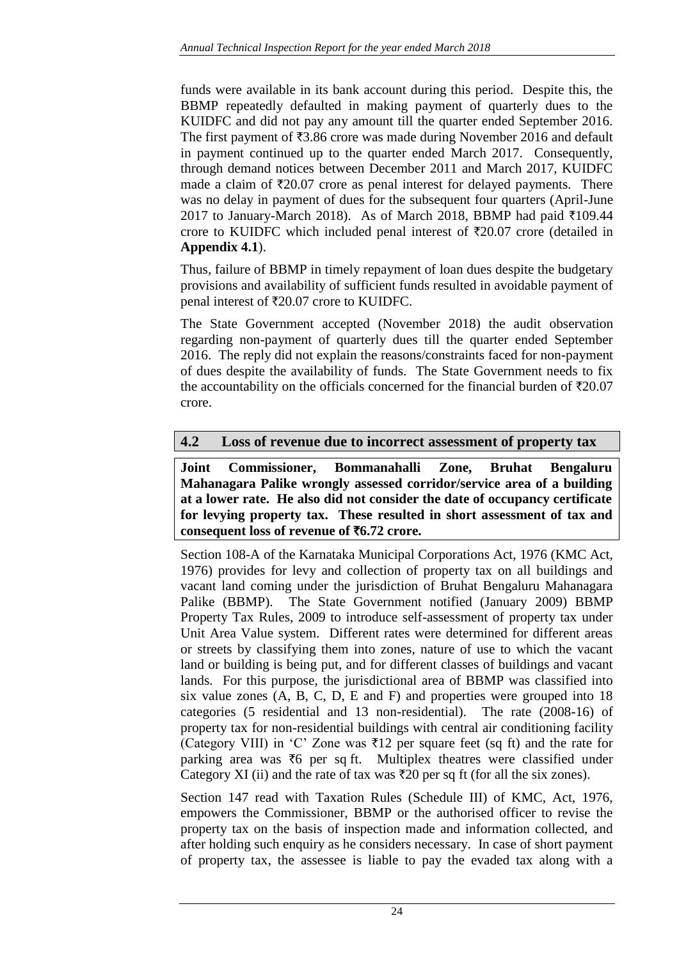funds were available in its bank account during this period. Despite this, the BBMP repeatedly defaulted in making payment of quarterly dues to the KUIDFC and did not pay any amount till the quarter ended September 2016. The first payment of  $\overline{53.86}$  crore was made during November 2016 and default in payment continued up to the quarter ended March 2017. Consequently, through demand notices between December 2011 and March 2017, KUIDFC made a claim of  $\bar{\tau}$ 20.07 crore as penal interest for delayed payments. There was no delay in payment of dues for the subsequent four quarters (April-June 2017 to January-March 2018). As of March 2018, BBMP had paid  $\bar{\tau}$ 109.44 crore to KUIDFC which included penal interest of  $\overline{\tau}20.07$  crore (detailed in **Appendix 4.1**).

Thus, failure of BBMP in timely repayment of loan dues despite the budgetary provisions and availability of sufficient funds resulted in avoidable payment of penal interest of  $\text{\textsterling}20.07$  crore to KUIDFC.

The State Government accepted (November 2018) the audit observation regarding non-payment of quarterly dues till the quarter ended September 2016. The reply did not explain the reasons/constraints faced for non-payment of dues despite the availability of funds. The State Government needs to fix the accountability on the officials concerned for the financial burden of  $\overline{520.07}$ crore.

## **4.2 Loss of revenue due to incorrect assessment of property tax**

**Joint Commissioner, Bommanahalli Zone, Bruhat Bengaluru Mahanagara Palike wrongly assessed corridor/service area of a building at a lower rate. He also did not consider the date of occupancy certificate for levying property tax. These resulted in short assessment of tax and consequent loss of revenue of** `**6.72 crore.**

Section 108-A of the Karnataka Municipal Corporations Act, 1976 (KMC Act, 1976) provides for levy and collection of property tax on all buildings and vacant land coming under the jurisdiction of Bruhat Bengaluru Mahanagara Palike (BBMP). The State Government notified (January 2009) BBMP Property Tax Rules, 2009 to introduce self-assessment of property tax under Unit Area Value system. Different rates were determined for different areas or streets by classifying them into zones, nature of use to which the vacant land or building is being put, and for different classes of buildings and vacant lands. For this purpose, the jurisdictional area of BBMP was classified into six value zones (A, B, C, D, E and F) and properties were grouped into 18 categories (5 residential and 13 non-residential). The rate (2008-16) of property tax for non-residential buildings with central air conditioning facility (Category VIII) in 'C' Zone was  $\overline{\tau}$ 12 per square feet (sq ft) and the rate for parking area was  $\bar{\tau}$ 6 per sq ft. Multiplex theatres were classified under Category XI (ii) and the rate of tax was  $\overline{z}20$  per sq ft (for all the six zones).

Section 147 read with Taxation Rules (Schedule III) of KMC, Act, 1976, empowers the Commissioner, BBMP or the authorised officer to revise the property tax on the basis of inspection made and information collected, and after holding such enquiry as he considers necessary. In case of short payment of property tax, the assessee is liable to pay the evaded tax along with a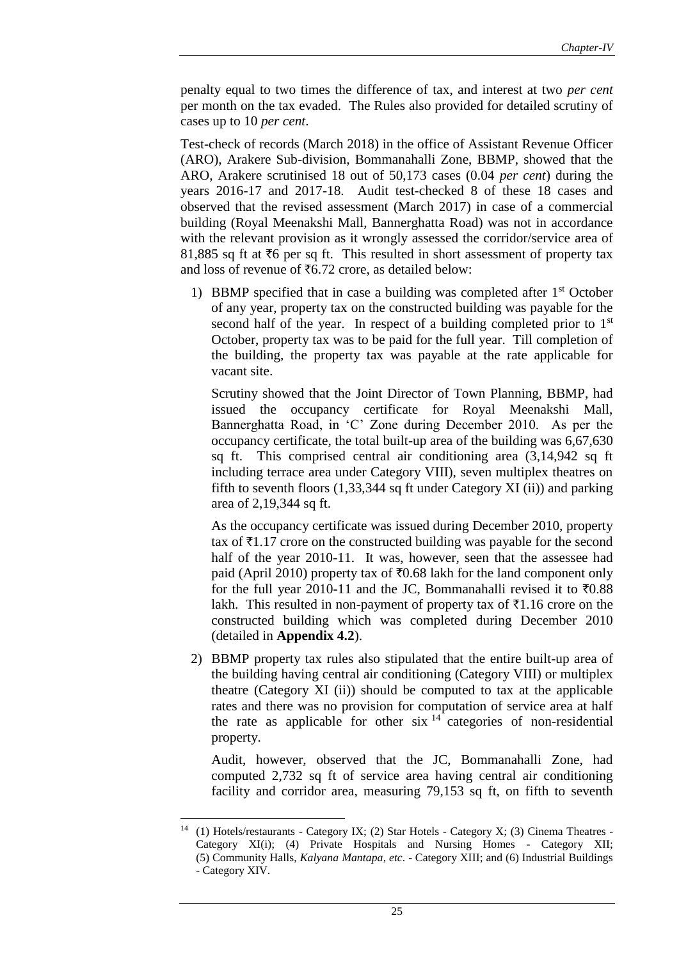penalty equal to two times the difference of tax, and interest at two *per cent* per month on the tax evaded. The Rules also provided for detailed scrutiny of cases up to 10 *per cent*.

Test-check of records (March 2018) in the office of Assistant Revenue Officer (ARO), Arakere Sub-division, Bommanahalli Zone, BBMP, showed that the ARO, Arakere scrutinised 18 out of 50,173 cases (0.04 *per cent*) during the years 2016-17 and 2017-18. Audit test-checked 8 of these 18 cases and observed that the revised assessment (March 2017) in case of a commercial building (Royal Meenakshi Mall, Bannerghatta Road) was not in accordance with the relevant provision as it wrongly assessed the corridor/service area of 81,885 sq ft at  $\overline{6}$  per sq ft. This resulted in short assessment of property tax and loss of revenue of  $\text{\textsterling}6.72$  crore, as detailed below:

1) BBMP specified that in case a building was completed after 1<sup>st</sup> October of any year, property tax on the constructed building was payable for the second half of the year. In respect of a building completed prior to  $1<sup>st</sup>$ October, property tax was to be paid for the full year. Till completion of the building, the property tax was payable at the rate applicable for vacant site.

Scrutiny showed that the Joint Director of Town Planning, BBMP, had issued the occupancy certificate for Royal Meenakshi Mall, Bannerghatta Road, in 'C' Zone during December 2010. As per the occupancy certificate, the total built-up area of the building was 6,67,630 sq ft. This comprised central air conditioning area (3,14,942 sq ft including terrace area under Category VIII), seven multiplex theatres on fifth to seventh floors (1,33,344 sq ft under Category XI (ii)) and parking area of 2,19,344 sq ft.

As the occupancy certificate was issued during December 2010, property tax of  $\bar{\tau}1.17$  crore on the constructed building was payable for the second half of the year 2010-11. It was, however, seen that the assessee had paid (April 2010) property tax of  $\bar{\tau}$ 0.68 lakh for the land component only for the full year 2010-11 and the JC, Bommanahalli revised it to  $\overline{60.88}$ lakh. This resulted in non-payment of property tax of  $\bar{\tau}1.16$  crore on the constructed building which was completed during December 2010 (detailed in **Appendix 4.2**).

2) BBMP property tax rules also stipulated that the entire built-up area of the building having central air conditioning (Category VIII) or multiplex theatre (Category XI (ii)) should be computed to tax at the applicable rates and there was no provision for computation of service area at half the rate as applicable for other six  $14$  categories of non-residential property.

Audit, however, observed that the JC, Bommanahalli Zone, had computed 2,732 sq ft of service area having central air conditioning facility and corridor area, measuring 79,153 sq ft, on fifth to seventh

 $14$ (1) Hotels/restaurants - Category IX; (2) Star Hotels - Category X; (3) Cinema Theatres -Category XI(i); (4) Private Hospitals and Nursing Homes - Category XII; (5) Community Halls, *Kalyana Mantapa*, *etc*. - Category XIII; and (6) Industrial Buildings - Category XIV.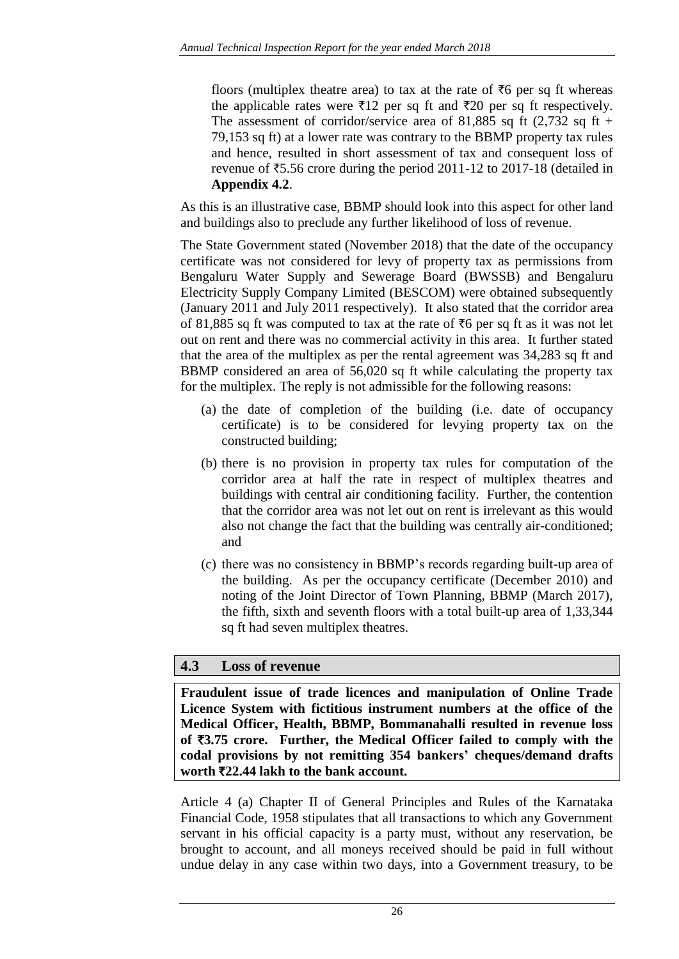floors (multiplex theatre area) to tax at the rate of  $\bar{\tau}6$  per sq ft whereas the applicable rates were  $\bar{\tau}$ 12 per sq ft and  $\bar{\tau}$ 20 per sq ft respectively. The assessment of corridor/service area of 81,885 sq ft (2,732 sq ft + 79,153 sq ft) at a lower rate was contrary to the BBMP property tax rules and hence, resulted in short assessment of tax and consequent loss of revenue of  $\overline{55.56}$  crore during the period 2011-12 to 2017-18 (detailed in **Appendix 4.2**.

As this is an illustrative case, BBMP should look into this aspect for other land and buildings also to preclude any further likelihood of loss of revenue.

The State Government stated (November 2018) that the date of the occupancy certificate was not considered for levy of property tax as permissions from Bengaluru Water Supply and Sewerage Board (BWSSB) and Bengaluru Electricity Supply Company Limited (BESCOM) were obtained subsequently (January 2011 and July 2011 respectively). It also stated that the corridor area of 81,885 sq ft was computed to tax at the rate of  $\overline{6}$  per sq ft as it was not let out on rent and there was no commercial activity in this area. It further stated that the area of the multiplex as per the rental agreement was 34,283 sq ft and BBMP considered an area of 56,020 sq ft while calculating the property tax for the multiplex. The reply is not admissible for the following reasons:

- (a) the date of completion of the building (i.e. date of occupancy certificate) is to be considered for levying property tax on the constructed building;
- (b) there is no provision in property tax rules for computation of the corridor area at half the rate in respect of multiplex theatres and buildings with central air conditioning facility. Further, the contention that the corridor area was not let out on rent is irrelevant as this would also not change the fact that the building was centrally air-conditioned; and
- (c) there was no consistency in BBMP's records regarding built-up area of the building. As per the occupancy certificate (December 2010) and noting of the Joint Director of Town Planning, BBMP (March 2017), the fifth, sixth and seventh floors with a total built-up area of 1,33,344 sq ft had seven multiplex theatres.

## **4.3 Loss of revenue**

**Fraudulent issue of trade licences and manipulation of Online Trade Licence System with fictitious instrument numbers at the office of the Medical Officer, Health, BBMP, Bommanahalli resulted in revenue loss of** `**3.75 crore. Further, the Medical Officer failed to comply with the codal provisions by not remitting 354 bankers' cheques/demand drafts worth** `**22.44 lakh to the bank account.**

Article 4 (a) Chapter II of General Principles and Rules of the Karnataka Financial Code, 1958 stipulates that all transactions to which any Government servant in his official capacity is a party must, without any reservation, be brought to account, and all moneys received should be paid in full without undue delay in any case within two days, into a Government treasury, to be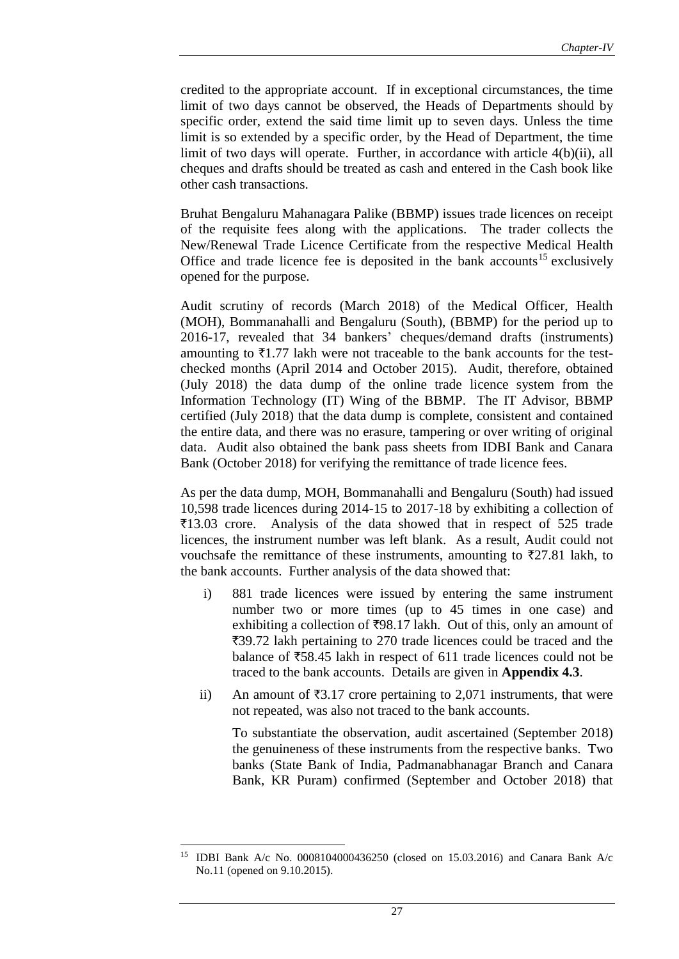credited to the appropriate account. If in exceptional circumstances, the time limit of two days cannot be observed, the Heads of Departments should by specific order, extend the said time limit up to seven days. Unless the time limit is so extended by a specific order, by the Head of Department, the time limit of two days will operate. Further, in accordance with article 4(b)(ii), all cheques and drafts should be treated as cash and entered in the Cash book like other cash transactions.

Bruhat Bengaluru Mahanagara Palike (BBMP) issues trade licences on receipt of the requisite fees along with the applications. The trader collects the New/Renewal Trade Licence Certificate from the respective Medical Health Office and trade licence fee is deposited in the bank accounts<sup>15</sup> exclusively opened for the purpose.

Audit scrutiny of records (March 2018) of the Medical Officer, Health (MOH), Bommanahalli and Bengaluru (South), (BBMP) for the period up to 2016-17, revealed that 34 bankers' cheques/demand drafts (instruments) amounting to  $\bar{\tau}$ 1.77 lakh were not traceable to the bank accounts for the testchecked months (April 2014 and October 2015). Audit, therefore, obtained (July 2018) the data dump of the online trade licence system from the Information Technology (IT) Wing of the BBMP. The IT Advisor, BBMP certified (July 2018) that the data dump is complete, consistent and contained the entire data, and there was no erasure, tampering or over writing of original data. Audit also obtained the bank pass sheets from IDBI Bank and Canara Bank (October 2018) for verifying the remittance of trade licence fees.

As per the data dump, MOH, Bommanahalli and Bengaluru (South) had issued 10,598 trade licences during 2014-15 to 2017-18 by exhibiting a collection of  $\overline{\xi}$ 13.03 crore. Analysis of the data showed that in respect of 525 trade licences, the instrument number was left blank. As a result, Audit could not vouchsafe the remittance of these instruments, amounting to  $\overline{z}27.81$  lakh, to the bank accounts. Further analysis of the data showed that:

- i) 881 trade licences were issued by entering the same instrument number two or more times (up to 45 times in one case) and exhibiting a collection of  $\overline{598.17}$  lakh. Out of this, only an amount of ₹39.72 lakh pertaining to 270 trade licences could be traced and the balance of  $\overline{58.45}$  lakh in respect of 611 trade licences could not be traced to the bank accounts. Details are given in **Appendix 4.3**.
- ii) An amount of  $\overline{3}3.17$  crore pertaining to 2,071 instruments, that were not repeated, was also not traced to the bank accounts.

To substantiate the observation, audit ascertained (September 2018) the genuineness of these instruments from the respective banks. Two banks (State Bank of India, Padmanabhanagar Branch and Canara Bank, KR Puram) confirmed (September and October 2018) that

 $\overline{a}$ <sup>15</sup> IDBI Bank A/c No. 0008104000436250 (closed on 15.03.2016) and Canara Bank A/c No.11 (opened on 9.10.2015).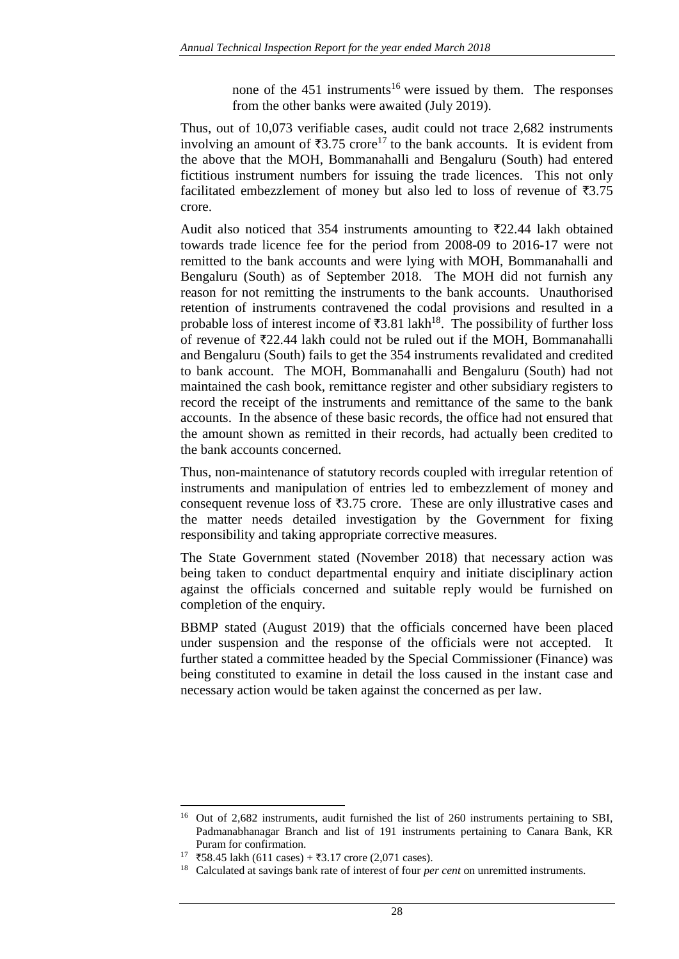none of the  $451$  instruments<sup>16</sup> were issued by them. The responses from the other banks were awaited (July 2019).

Thus, out of 10,073 verifiable cases, audit could not trace 2,682 instruments involving an amount of  $\overline{3}3.75$  crore<sup>17</sup> to the bank accounts. It is evident from the above that the MOH, Bommanahalli and Bengaluru (South) had entered fictitious instrument numbers for issuing the trade licences. This not only facilitated embezzlement of money but also led to loss of revenue of  $\overline{53.75}$ crore.

Audit also noticed that 354 instruments amounting to  $\overline{\tau}22.44$  lakh obtained towards trade licence fee for the period from 2008-09 to 2016-17 were not remitted to the bank accounts and were lying with MOH, Bommanahalli and Bengaluru (South) as of September 2018. The MOH did not furnish any reason for not remitting the instruments to the bank accounts. Unauthorised retention of instruments contravened the codal provisions and resulted in a probable loss of interest income of  $\overline{3}3.81$  lakh<sup>18</sup>. The possibility of further loss of revenue of  $\overline{22.44}$  lakh could not be ruled out if the MOH, Bommanahalli and Bengaluru (South) fails to get the 354 instruments revalidated and credited to bank account. The MOH, Bommanahalli and Bengaluru (South) had not maintained the cash book, remittance register and other subsidiary registers to record the receipt of the instruments and remittance of the same to the bank accounts. In the absence of these basic records, the office had not ensured that the amount shown as remitted in their records, had actually been credited to the bank accounts concerned.

Thus, non-maintenance of statutory records coupled with irregular retention of instruments and manipulation of entries led to embezzlement of money and consequent revenue loss of  $\overline{3.75}$  crore. These are only illustrative cases and the matter needs detailed investigation by the Government for fixing responsibility and taking appropriate corrective measures.

The State Government stated (November 2018) that necessary action was being taken to conduct departmental enquiry and initiate disciplinary action against the officials concerned and suitable reply would be furnished on completion of the enquiry.

BBMP stated (August 2019) that the officials concerned have been placed under suspension and the response of the officials were not accepted. It further stated a committee headed by the Special Commissioner (Finance) was being constituted to examine in detail the loss caused in the instant case and necessary action would be taken against the concerned as per law.

 $\overline{a}$ <sup>16</sup> Out of 2,682 instruments, audit furnished the list of 260 instruments pertaining to SBI, Padmanabhanagar Branch and list of 191 instruments pertaining to Canara Bank, KR Puram for confirmation.

 $17 \overline{58.45}$  lakh (611 cases) + ₹3.17 crore (2,071 cases).

<sup>18</sup> Calculated at savings bank rate of interest of four *per cent* on unremitted instruments.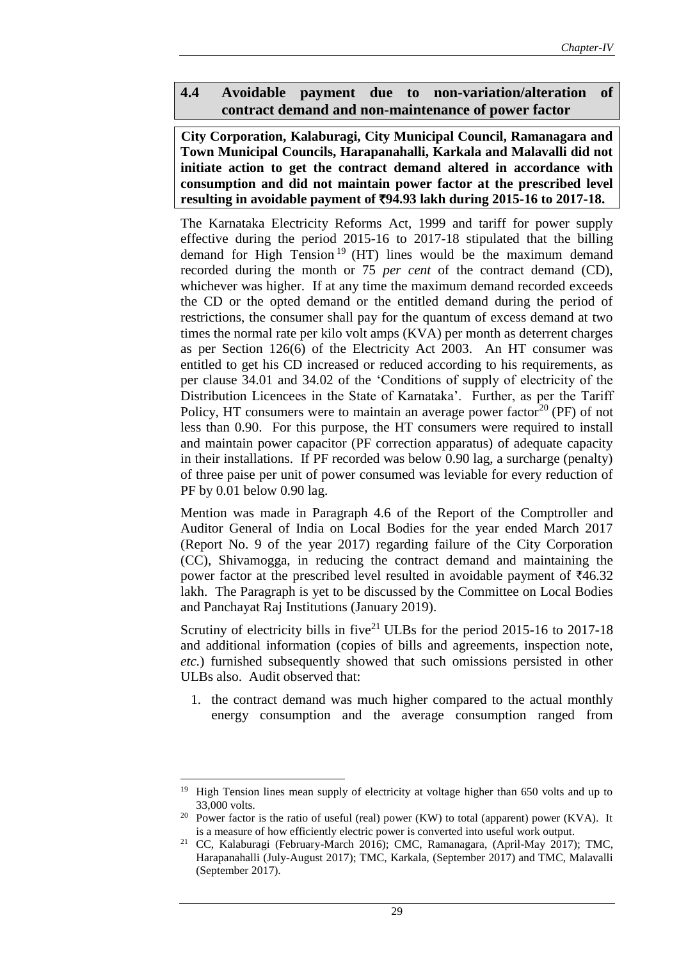### **4.4 Avoidable payment due to non-variation/alteration of contract demand and non-maintenance of power factor**

**City Corporation, Kalaburagi, City Municipal Council, Ramanagara and Town Municipal Councils, Harapanahalli, Karkala and Malavalli did not initiate action to get the contract demand altered in accordance with consumption and did not maintain power factor at the prescribed level resulting in avoidable payment of** `**94.93 lakh during 2015-16 to 2017-18.**

The Karnataka Electricity Reforms Act, 1999 and tariff for power supply effective during the period 2015-16 to 2017-18 stipulated that the billing demand for High Tension<sup>19</sup> (HT) lines would be the maximum demand recorded during the month or 75 *per cent* of the contract demand (CD), whichever was higher. If at any time the maximum demand recorded exceeds the CD or the opted demand or the entitled demand during the period of restrictions, the consumer shall pay for the quantum of excess demand at two times the normal rate per kilo volt amps (KVA) per month as deterrent charges as per Section 126(6) of the Electricity Act 2003. An HT consumer was entitled to get his CD increased or reduced according to his requirements, as per clause 34.01 and 34.02 of the 'Conditions of supply of electricity of the Distribution Licencees in the State of Karnataka'. Further, as per the Tariff Policy, HT consumers were to maintain an average power factor<sup>20</sup> (PF) of not less than 0.90. For this purpose, the HT consumers were required to install and maintain power capacitor (PF correction apparatus) of adequate capacity in their installations. If PF recorded was below 0.90 lag, a surcharge (penalty) of three paise per unit of power consumed was leviable for every reduction of PF by 0.01 below 0.90 lag.

Mention was made in Paragraph 4.6 of the Report of the Comptroller and Auditor General of India on Local Bodies for the year ended March 2017 (Report No. 9 of the year 2017) regarding failure of the City Corporation (CC), Shivamogga, in reducing the contract demand and maintaining the power factor at the prescribed level resulted in avoidable payment of  $\bar{z}46.32$ lakh. The Paragraph is yet to be discussed by the Committee on Local Bodies and Panchayat Raj Institutions (January 2019).

Scrutiny of electricity bills in five<sup>21</sup> ULBs for the period 2015-16 to 2017-18 and additional information (copies of bills and agreements, inspection note, *etc.*) furnished subsequently showed that such omissions persisted in other ULBs also. Audit observed that:

1. the contract demand was much higher compared to the actual monthly energy consumption and the average consumption ranged from

 $\overline{\phantom{a}}$ 

<sup>&</sup>lt;sup>19</sup> High Tension lines mean supply of electricity at voltage higher than 650 volts and up to 33,000 volts.

<sup>&</sup>lt;sup>20</sup> Power factor is the ratio of useful (real) power (KW) to total (apparent) power (KVA). It is a measure of how efficiently electric power is converted into useful work output.

<sup>21</sup> CC, Kalaburagi (February-March 2016); CMC, Ramanagara, (April-May 2017); TMC, Harapanahalli (July-August 2017); TMC, Karkala, (September 2017) and TMC, Malavalli (September 2017).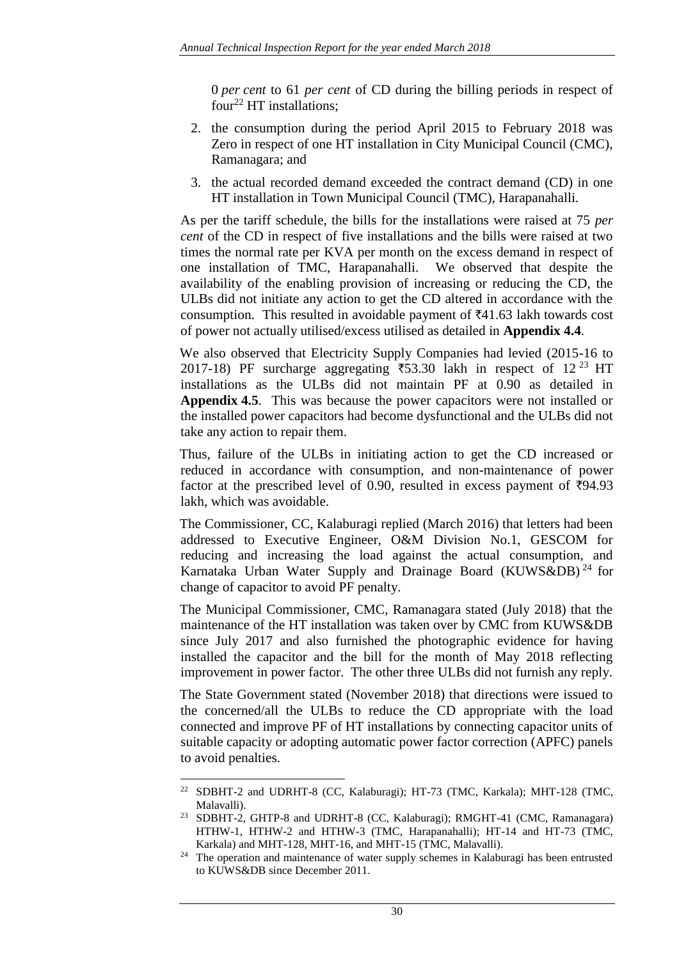0 *per cent* to 61 *per cent* of CD during the billing periods in respect of four<sup>22</sup> HT installations:

- 2. the consumption during the period April 2015 to February 2018 was Zero in respect of one HT installation in City Municipal Council (CMC), Ramanagara; and
- 3. the actual recorded demand exceeded the contract demand (CD) in one HT installation in Town Municipal Council (TMC), Harapanahalli.

As per the tariff schedule, the bills for the installations were raised at 75 *per cent* of the CD in respect of five installations and the bills were raised at two times the normal rate per KVA per month on the excess demand in respect of one installation of TMC, Harapanahalli. We observed that despite the availability of the enabling provision of increasing or reducing the CD, the ULBs did not initiate any action to get the CD altered in accordance with the consumption. This resulted in avoidable payment of  $\text{\texttt{41.63}}$  lakh towards cost of power not actually utilised/excess utilised as detailed in **Appendix 4.4**.

We also observed that Electricity Supply Companies had levied (2015-16 to 2017-18) PF surcharge aggregating  $\overline{5}$ 53.30 lakh in respect of 12<sup>23</sup> HT installations as the ULBs did not maintain PF at 0.90 as detailed in **Appendix 4.5**. This was because the power capacitors were not installed or the installed power capacitors had become dysfunctional and the ULBs did not take any action to repair them.

Thus, failure of the ULBs in initiating action to get the CD increased or reduced in accordance with consumption, and non-maintenance of power factor at the prescribed level of 0.90, resulted in excess payment of  $\overline{5}94.93$ lakh, which was avoidable.

The Commissioner, CC, Kalaburagi replied (March 2016) that letters had been addressed to Executive Engineer, O&M Division No.1, GESCOM for reducing and increasing the load against the actual consumption, and Karnataka Urban Water Supply and Drainage Board (KUWS&DB)<sup>24</sup> for change of capacitor to avoid PF penalty.

The Municipal Commissioner, CMC, Ramanagara stated (July 2018) that the maintenance of the HT installation was taken over by CMC from KUWS&DB since July 2017 and also furnished the photographic evidence for having installed the capacitor and the bill for the month of May 2018 reflecting improvement in power factor. The other three ULBs did not furnish any reply.

The State Government stated (November 2018) that directions were issued to the concerned/all the ULBs to reduce the CD appropriate with the load connected and improve PF of HT installations by connecting capacitor units of suitable capacity or adopting automatic power factor correction (APFC) panels to avoid penalties.

 $\overline{\phantom{a}}$ <sup>22</sup> SDBHT-2 and UDRHT-8 (CC, Kalaburagi); HT-73 (TMC, Karkala); MHT-128 (TMC, Malavalli).

<sup>23</sup> SDBHT-2, GHTP-8 and UDRHT-8 (CC, Kalaburagi); RMGHT-41 (CMC, Ramanagara) HTHW-1, HTHW-2 and HTHW-3 (TMC, Harapanahalli); HT-14 and HT-73 (TMC, Karkala) and MHT-128, MHT-16, and MHT-15 (TMC, Malavalli).

<sup>&</sup>lt;sup>24</sup> The operation and maintenance of water supply schemes in Kalaburagi has been entrusted to KUWS&DB since December 2011.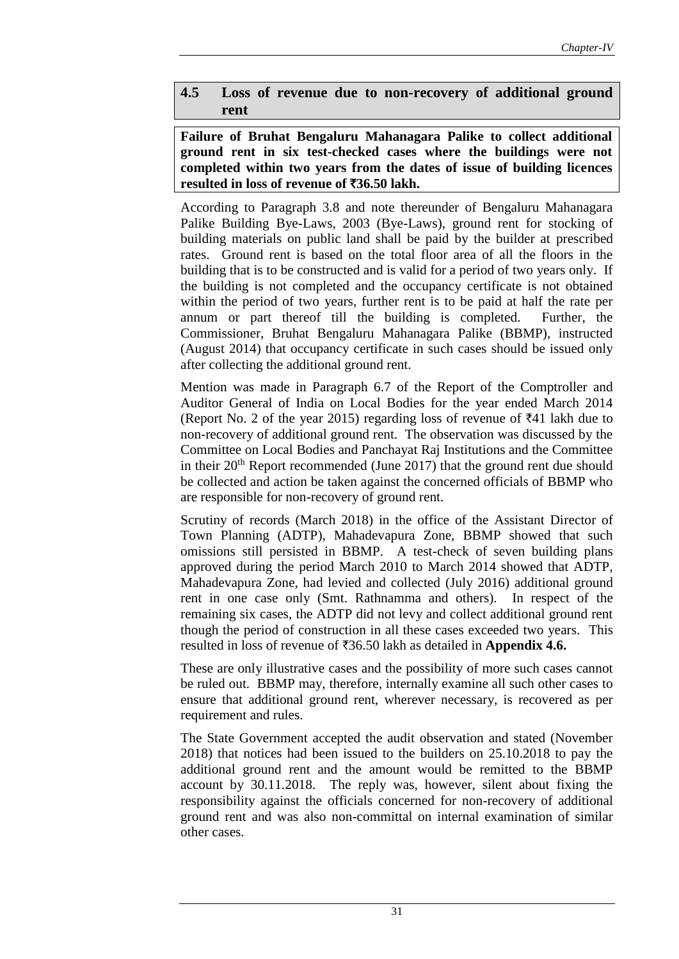## **4.5 Loss of revenue due to non-recovery of additional ground rent**

**Failure of Bruhat Bengaluru Mahanagara Palike to collect additional ground rent in six test-checked cases where the buildings were not completed within two years from the dates of issue of building licences resulted in loss of revenue of** `**36.50 lakh.**

According to Paragraph 3.8 and note thereunder of Bengaluru Mahanagara Palike Building Bye-Laws, 2003 (Bye-Laws), ground rent for stocking of building materials on public land shall be paid by the builder at prescribed rates. Ground rent is based on the total floor area of all the floors in the building that is to be constructed and is valid for a period of two years only. If the building is not completed and the occupancy certificate is not obtained within the period of two years, further rent is to be paid at half the rate per annum or part thereof till the building is completed. Further, the Commissioner, Bruhat Bengaluru Mahanagara Palike (BBMP), instructed (August 2014) that occupancy certificate in such cases should be issued only after collecting the additional ground rent.

Mention was made in Paragraph 6.7 of the Report of the Comptroller and Auditor General of India on Local Bodies for the year ended March 2014 (Report No. 2 of the year 2015) regarding loss of revenue of  $\bar{z}41$  lakh due to non-recovery of additional ground rent. The observation was discussed by the Committee on Local Bodies and Panchayat Raj Institutions and the Committee in their  $20<sup>th</sup>$  Report recommended (June 2017) that the ground rent due should be collected and action be taken against the concerned officials of BBMP who are responsible for non-recovery of ground rent.

Scrutiny of records (March 2018) in the office of the Assistant Director of Town Planning (ADTP), Mahadevapura Zone, BBMP showed that such omissions still persisted in BBMP. A test-check of seven building plans approved during the period March 2010 to March 2014 showed that ADTP, Mahadevapura Zone, had levied and collected (July 2016) additional ground rent in one case only (Smt. Rathnamma and others). In respect of the remaining six cases, the ADTP did not levy and collect additional ground rent though the period of construction in all these cases exceeded two years. This resulted in loss of revenue of `36.50 lakh as detailed in **Appendix 4.6.**

These are only illustrative cases and the possibility of more such cases cannot be ruled out. BBMP may, therefore, internally examine all such other cases to ensure that additional ground rent, wherever necessary, is recovered as per requirement and rules.

The State Government accepted the audit observation and stated (November 2018) that notices had been issued to the builders on 25.10.2018 to pay the additional ground rent and the amount would be remitted to the BBMP account by 30.11.2018. The reply was, however, silent about fixing the responsibility against the officials concerned for non-recovery of additional ground rent and was also non-committal on internal examination of similar other cases.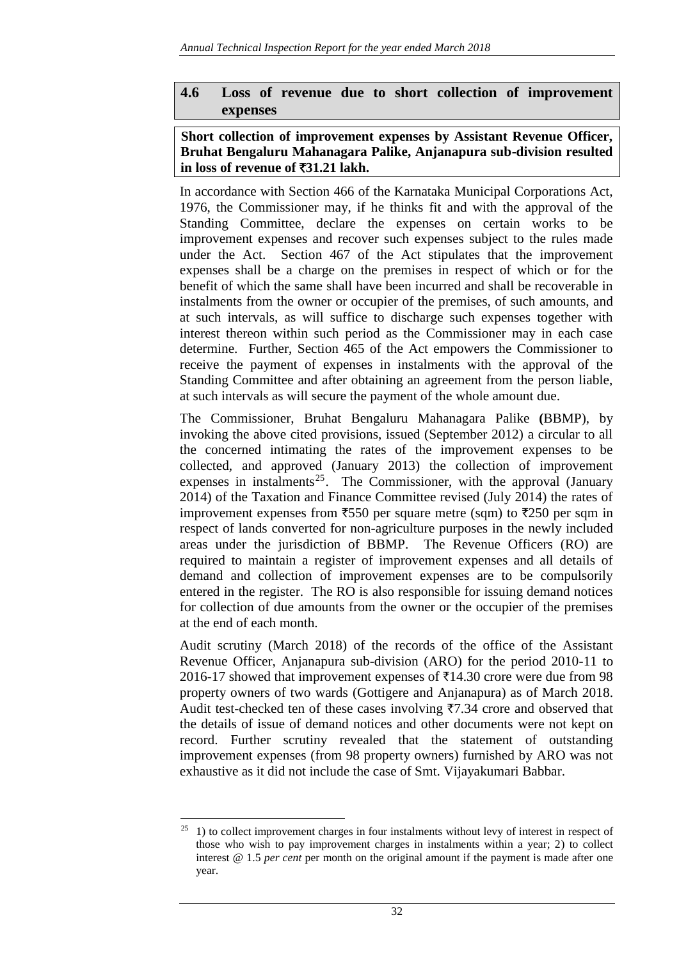## **4.6 Loss of revenue due to short collection of improvement expenses**

#### **Short collection of improvement expenses by Assistant Revenue Officer, Bruhat Bengaluru Mahanagara Palike, Anjanapura sub-division resulted in loss of revenue of** `**31.21 lakh.**

In accordance with Section 466 of the Karnataka Municipal Corporations Act, 1976, the Commissioner may, if he thinks fit and with the approval of the Standing Committee, declare the expenses on certain works to be improvement expenses and recover such expenses subject to the rules made under the Act. Section 467 of the Act stipulates that the improvement expenses shall be a charge on the premises in respect of which or for the benefit of which the same shall have been incurred and shall be recoverable in instalments from the owner or occupier of the premises, of such amounts, and at such intervals, as will suffice to discharge such expenses together with interest thereon within such period as the Commissioner may in each case determine. Further, Section 465 of the Act empowers the Commissioner to receive the payment of expenses in instalments with the approval of the Standing Committee and after obtaining an agreement from the person liable, at such intervals as will secure the payment of the whole amount due.

The Commissioner, Bruhat Bengaluru Mahanagara Palike **(**BBMP), by invoking the above cited provisions, issued (September 2012) a circular to all the concerned intimating the rates of the improvement expenses to be collected, and approved (January 2013) the collection of improvement expenses in instalments<sup>25</sup>. The Commissioner, with the approval (January 2014) of the Taxation and Finance Committee revised (July 2014) the rates of improvement expenses from  $\overline{550}$  per square metre (sqm) to  $\overline{5250}$  per sqm in respect of lands converted for non-agriculture purposes in the newly included areas under the jurisdiction of BBMP. The Revenue Officers (RO) are required to maintain a register of improvement expenses and all details of demand and collection of improvement expenses are to be compulsorily entered in the register. The RO is also responsible for issuing demand notices for collection of due amounts from the owner or the occupier of the premises at the end of each month.

Audit scrutiny (March 2018) of the records of the office of the Assistant Revenue Officer, Anjanapura sub-division (ARO) for the period 2010-11 to 2016-17 showed that improvement expenses of  $\bar{\tau}$ 14.30 crore were due from 98 property owners of two wards (Gottigere and Anjanapura) as of March 2018. Audit test-checked ten of these cases involving  $\overline{57.34}$  crore and observed that the details of issue of demand notices and other documents were not kept on record. Further scrutiny revealed that the statement of outstanding improvement expenses (from 98 property owners) furnished by ARO was not exhaustive as it did not include the case of Smt. Vijayakumari Babbar.

 $25\,$ <sup>25</sup> 1) to collect improvement charges in four instalments without levy of interest in respect of those who wish to pay improvement charges in instalments within a year; 2) to collect interest @ 1.5 *per cent* per month on the original amount if the payment is made after one year.